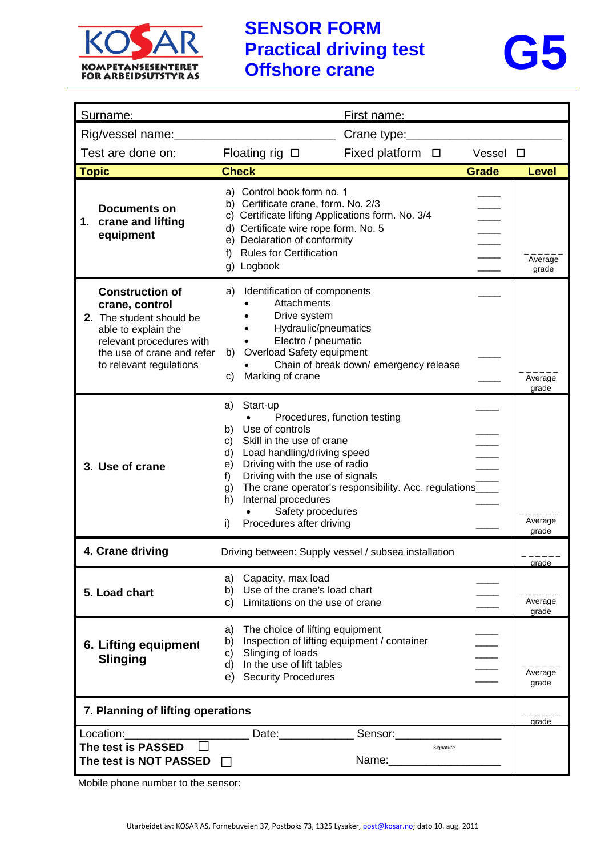



| Surname:                                                                                                                                                                         | <u>First name:</u>                                                                                                                                                                                                                                                                                                                                                                                                  |                  |
|----------------------------------------------------------------------------------------------------------------------------------------------------------------------------------|---------------------------------------------------------------------------------------------------------------------------------------------------------------------------------------------------------------------------------------------------------------------------------------------------------------------------------------------------------------------------------------------------------------------|------------------|
| Rig/vessel name:                                                                                                                                                                 | Crane type:                                                                                                                                                                                                                                                                                                                                                                                                         |                  |
| Test are done on:<br>Fixed platform $\Box$<br>Floating rig $\Box$<br>Vessel $\square$                                                                                            |                                                                                                                                                                                                                                                                                                                                                                                                                     |                  |
| <b>Topic</b>                                                                                                                                                                     | <b>Check</b><br><b>Grade</b>                                                                                                                                                                                                                                                                                                                                                                                        | <b>Level</b>     |
| Documents on<br>crane and lifting<br>1.<br>equipment                                                                                                                             | a) Control book form no. 1<br>b) Certificate crane, form. No. 2/3<br>c) Certificate lifting Applications form. No. 3/4<br>d) Certificate wire rope form. No. 5<br>e) Declaration of conformity<br><b>Rules for Certification</b><br>f)<br>g) Logbook                                                                                                                                                                | Average<br>grade |
| <b>Construction of</b><br>crane, control<br>2. The student should be<br>able to explain the<br>relevant procedures with<br>the use of crane and refer<br>to relevant regulations | Identification of components<br>a)<br>Attachments<br>Drive system<br>Hydraulic/pneumatics<br>Electro / pneumatic<br>Overload Safety equipment<br>b)<br>Chain of break down/ emergency release<br>Marking of crane<br>C)                                                                                                                                                                                             | Average<br>grade |
| 3. Use of crane                                                                                                                                                                  | Start-up<br>a)<br>Procedures, function testing<br>Use of controls<br>b).<br>Skill in the use of crane<br>C)<br>Load handling/driving speed<br>d)<br>Driving with the use of radio<br>e)<br>$\overline{\phantom{a}}$<br>Driving with the use of signals<br>f)<br>The crane operator's responsibility. Acc. regulations____<br>g)<br>Internal procedures<br>h)<br>Safety procedures<br>Procedures after driving<br>i) | Average<br>grade |
| 4. Crane driving                                                                                                                                                                 | Driving between: Supply vessel / subsea installation                                                                                                                                                                                                                                                                                                                                                                | <u>arade</u>     |
| 5. Load chart                                                                                                                                                                    | a) Capacity, max load<br>b) Use of the crane's load chart<br>c) Limitations on the use of crane                                                                                                                                                                                                                                                                                                                     | Average<br>grade |
| 6. Lifting equipment<br><b>Slinging</b>                                                                                                                                          | The choice of lifting equipment<br>a)<br>Inspection of lifting equipment / container<br>b)<br>Slinging of loads<br>C)<br>In the use of lift tables<br>d)<br><b>Security Procedures</b><br>e)                                                                                                                                                                                                                        | Average<br>grade |
| 7. Planning of lifting operations                                                                                                                                                |                                                                                                                                                                                                                                                                                                                                                                                                                     |                  |
| Location:<br>The test is PASSED<br>The test is NOT PASSED                                                                                                                        | Date: Date:<br>Sensor:____________<br>Signature<br>Name:________________________<br>$\perp$                                                                                                                                                                                                                                                                                                                         |                  |

Mobile phone number to the sensor: